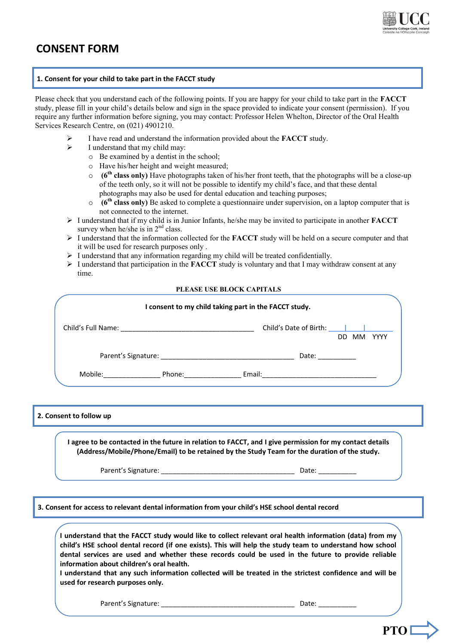

# **CONSENT FORM**

### **1. Consent for your child to take part in the FACCT study**

Please check that you understand each of the following points. If you are happy for your child to take part in the **FACCT** study, please fill in your child's details below and sign in the space provided to indicate your consent (permission). If you require any further information before signing, you may contact: Professor Helen Whelton, Director of the Oral Health Services Research Centre, on (021) 4901210.

- I have read and understand the information provided about the **FACCT** study.
- $\triangleright$  I understand that my child may:
	- o Be examined by a dentist in the school;
	- o Have his/her height and weight measured;
	- o **(6th class only)** Have photographs taken of his/her front teeth, that the photographs will be a close-up of the teeth only, so it will not be possible to identify my child's face, and that these dental photographs may also be used for dental education and teaching purposes;
	- $\circ$  (6<sup>th</sup> **class only)** Be asked to complete a questionnaire under supervision, on a laptop computer that is not connected to the internet.
- I understand that if my child is in Junior Infants, he/she may be invited to participate in another **FACCT** survey when he/she is in  $2<sup>nd</sup>$  class.
- > I understand that the information collected for the **FACCT** study will be held on a secure computer and that it will be used for research purposes only .
- $\triangleright$  I understand that any information regarding my child will be treated confidentially.
- $\geq$  I understand that participation in the **FACCT** study is voluntary and that I may withdraw consent at any time.

#### **PLEASE USE BLOCK CAPITALS**

| I consent to my child taking part in the FACCT study.                                                                                                                                                                          |        |                                                                                                                                                                                                                                |                          |
|--------------------------------------------------------------------------------------------------------------------------------------------------------------------------------------------------------------------------------|--------|--------------------------------------------------------------------------------------------------------------------------------------------------------------------------------------------------------------------------------|--------------------------|
|                                                                                                                                                                                                                                |        | Child's Date of Birth: [                                                                                                                                                                                                       | <b>YYYY</b><br>MМ<br>DD. |
| Parent's Signature: The contract of the contract of the contract of the contract of the contract of the contract of the contract of the contract of the contract of the contract of the contract of the contract of the contra |        | Date: the contract of the contract of the contract of the contract of the contract of the contract of the contract of the contract of the contract of the contract of the contract of the contract of the contract of the cont |                          |
| Mobile:                                                                                                                                                                                                                        | Phone: | Email:                                                                                                                                                                                                                         |                          |

## **2. Consent to follow up**

**I agree to be contacted in the future in relation to FACCT, and I give permission for my contact details (Address/Mobile/Phone/Email) to be retained by the Study Team for the duration of the study.**

Parent's Signature: etc. and the parent's Signature:

**3. Consent for access to relevant dental information from your child's HSE school dental record**

**I understand that the FACCT study would like to collect relevant oral health information (data) from my child's HSE school dental record (if one exists). This will help the study team to understand how school dental services are used and whether these records could be used in the future to provide reliable information about children's oral health.** 

**I understand that any such information collected will be treated in the strictest confidence and will be used for research purposes only.**

Parent's Signature: \_\_\_\_\_\_\_\_\_\_\_\_\_\_\_\_\_\_\_\_\_\_\_\_\_\_\_\_\_\_\_\_\_\_\_ Date: \_\_\_\_\_\_\_\_\_\_